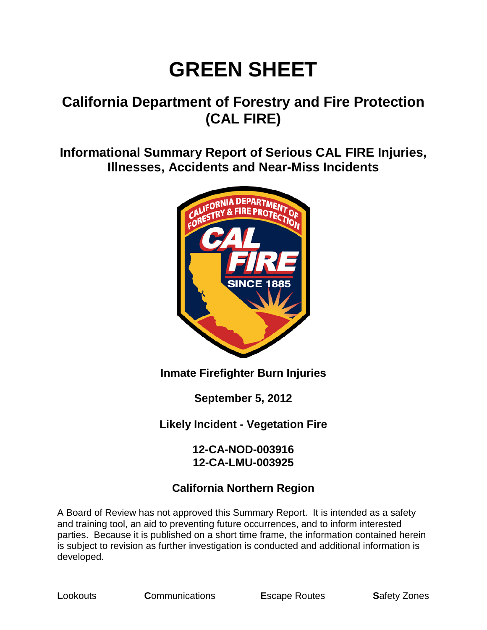# **GREEN SHEET**

# **California Department of Forestry and Fire Protection (CAL FIRE)**

**Informational Summary Report of Serious CAL FIRE Injuries, Illnesses, Accidents and Near-Miss Incidents**



## **Inmate Firefighter Burn Injuries**

**September 5, 2012**

**Likely Incident - Vegetation Fire**

#### **12-CA-NOD-003916 12-CA-LMU-003925**

## **California Northern Region**

A Board of Review has not approved this Summary Report. It is intended as a safety and training tool, an aid to preventing future occurrences, and to inform interested parties. Because it is published on a short time frame, the information contained herein is subject to revision as further investigation is conducted and additional information is developed.

**L**ookouts **C**ommunications **E**scape Routes **S**afety Zones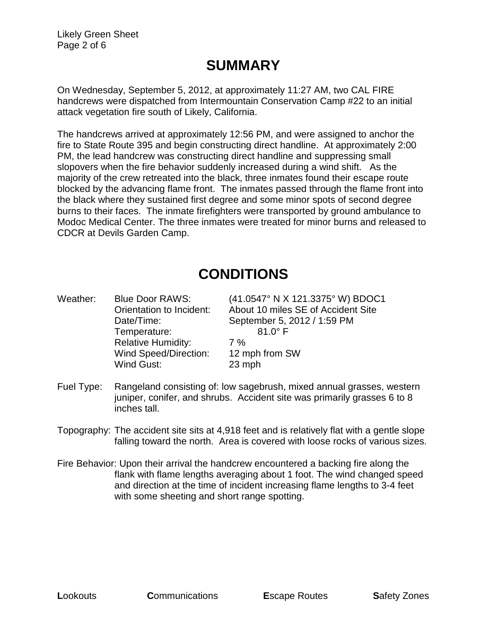Likely Green Sheet Page 2 of 6

## **SUMMARY**

On Wednesday, September 5, 2012, at approximately 11:27 AM, two CAL FIRE handcrews were dispatched from Intermountain Conservation Camp #22 to an initial attack vegetation fire south of Likely, California.

The handcrews arrived at approximately 12:56 PM, and were assigned to anchor the fire to State Route 395 and begin constructing direct handline. At approximately 2:00 PM, the lead handcrew was constructing direct handline and suppressing small slopovers when the fire behavior suddenly increased during a wind shift. As the majority of the crew retreated into the black, three inmates found their escape route blocked by the advancing flame front. The inmates passed through the flame front into the black where they sustained first degree and some minor spots of second degree burns to their faces. The inmate firefighters were transported by ground ambulance to Modoc Medical Center. The three inmates were treated for minor burns and released to CDCR at Devils Garden Camp.

# **CONDITIONS**

Weather: Blue Door RAWS: (41.0547° N X 121.3375° W) BDOC1 Orientation to Incident: About 10 miles SE of Accident Site Date/Time: September 5, 2012 / 1:59 PM Temperature: 81.0° F Relative Humidity: 7% Wind Speed/Direction: 12 mph from SW Wind Gust: 23 mph

- Fuel Type: Rangeland consisting of: low sagebrush, mixed annual grasses, western juniper, conifer, and shrubs. Accident site was primarily grasses 6 to 8 inches tall.
- Topography: The accident site sits at 4,918 feet and is relatively flat with a gentle slope falling toward the north. Area is covered with loose rocks of various sizes.
- Fire Behavior: Upon their arrival the handcrew encountered a backing fire along the flank with flame lengths averaging about 1 foot. The wind changed speed and direction at the time of incident increasing flame lengths to 3-4 feet with some sheeting and short range spotting.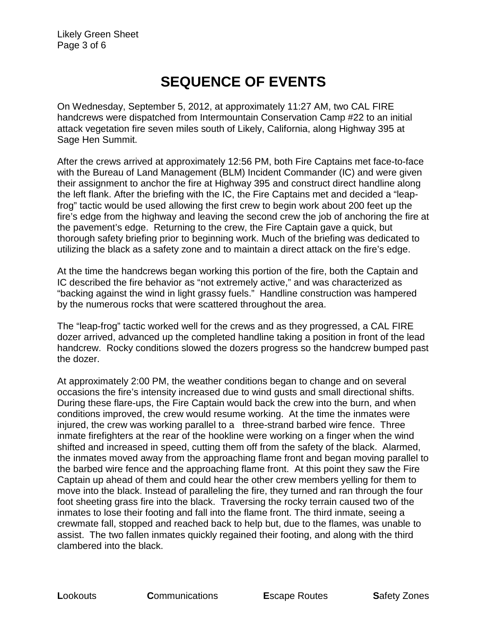# **SEQUENCE OF EVENTS**

On Wednesday, September 5, 2012, at approximately 11:27 AM, two CAL FIRE handcrews were dispatched from Intermountain Conservation Camp #22 to an initial attack vegetation fire seven miles south of Likely, California, along Highway 395 at Sage Hen Summit.

After the crews arrived at approximately 12:56 PM, both Fire Captains met face-to-face with the Bureau of Land Management (BLM) Incident Commander (IC) and were given their assignment to anchor the fire at Highway 395 and construct direct handline along the left flank. After the briefing with the IC, the Fire Captains met and decided a "leapfrog" tactic would be used allowing the first crew to begin work about 200 feet up the fire's edge from the highway and leaving the second crew the job of anchoring the fire at the pavement's edge. Returning to the crew, the Fire Captain gave a quick, but thorough safety briefing prior to beginning work. Much of the briefing was dedicated to utilizing the black as a safety zone and to maintain a direct attack on the fire's edge.

At the time the handcrews began working this portion of the fire, both the Captain and IC described the fire behavior as "not extremely active," and was characterized as "backing against the wind in light grassy fuels." Handline construction was hampered by the numerous rocks that were scattered throughout the area.

The "leap-frog" tactic worked well for the crews and as they progressed, a CAL FIRE dozer arrived, advanced up the completed handline taking a position in front of the lead handcrew. Rocky conditions slowed the dozers progress so the handcrew bumped past the dozer.

At approximately 2:00 PM, the weather conditions began to change and on several occasions the fire's intensity increased due to wind gusts and small directional shifts. During these flare-ups, the Fire Captain would back the crew into the burn, and when conditions improved, the crew would resume working. At the time the inmates were injured, the crew was working parallel to a three-strand barbed wire fence. Three inmate firefighters at the rear of the hookline were working on a finger when the wind shifted and increased in speed, cutting them off from the safety of the black. Alarmed, the inmates moved away from the approaching flame front and began moving parallel to the barbed wire fence and the approaching flame front. At this point they saw the Fire Captain up ahead of them and could hear the other crew members yelling for them to move into the black. Instead of paralleling the fire, they turned and ran through the four foot sheeting grass fire into the black. Traversing the rocky terrain caused two of the inmates to lose their footing and fall into the flame front. The third inmate, seeing a crewmate fall, stopped and reached back to help but, due to the flames, was unable to assist. The two fallen inmates quickly regained their footing, and along with the third clambered into the black.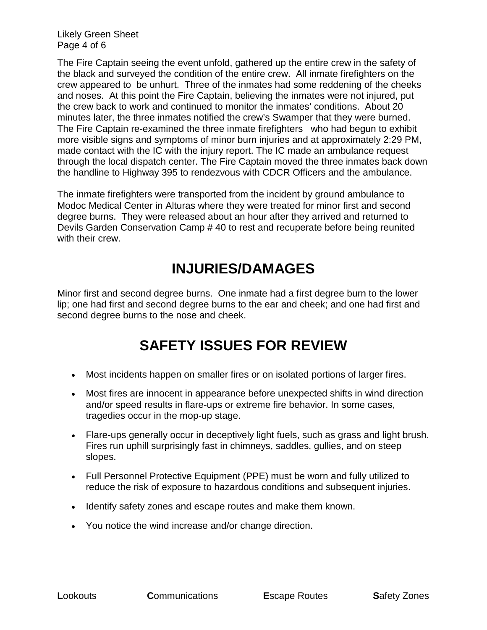Likely Green Sheet Page 4 of 6

The Fire Captain seeing the event unfold, gathered up the entire crew in the safety of the black and surveyed the condition of the entire crew. All inmate firefighters on the crew appeared to be unhurt. Three of the inmates had some reddening of the cheeks and noses. At this point the Fire Captain, believing the inmates were not injured, put the crew back to work and continued to monitor the inmates' conditions. About 20 minutes later, the three inmates notified the crew's Swamper that they were burned. The Fire Captain re-examined the three inmate firefighters who had begun to exhibit more visible signs and symptoms of minor burn injuries and at approximately 2:29 PM, made contact with the IC with the injury report. The IC made an ambulance request through the local dispatch center. The Fire Captain moved the three inmates back down the handline to Highway 395 to rendezvous with CDCR Officers and the ambulance.

The inmate firefighters were transported from the incident by ground ambulance to Modoc Medical Center in Alturas where they were treated for minor first and second degree burns. They were released about an hour after they arrived and returned to Devils Garden Conservation Camp # 40 to rest and recuperate before being reunited with their crew

# **INJURIES/DAMAGES**

Minor first and second degree burns. One inmate had a first degree burn to the lower lip; one had first and second degree burns to the ear and cheek; and one had first and second degree burns to the nose and cheek.

# **SAFETY ISSUES FOR REVIEW**

- Most incidents happen on smaller fires or on isolated portions of larger fires.
- Most fires are innocent in appearance before unexpected shifts in wind direction and/or speed results in flare-ups or extreme fire behavior. In some cases, tragedies occur in the mop-up stage.
- Flare-ups generally occur in deceptively light fuels, such as grass and light brush. Fires run uphill surprisingly fast in chimneys, saddles, gullies, and on steep slopes.
- Full Personnel Protective Equipment (PPE) must be worn and fully utilized to reduce the risk of exposure to hazardous conditions and subsequent injuries.
- Identify safety zones and escape routes and make them known.
- You notice the wind increase and/or change direction.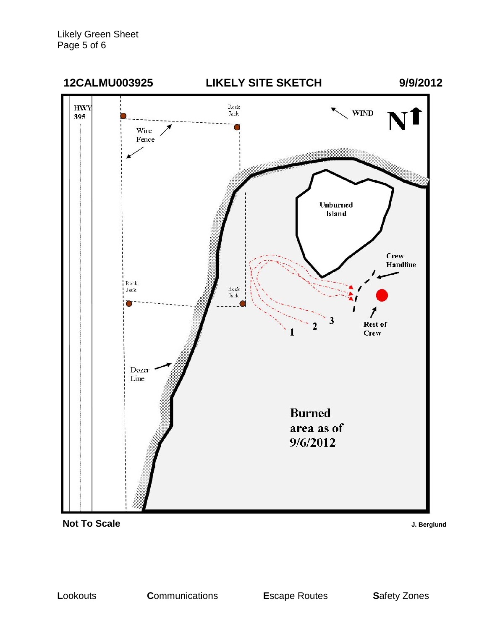



J. Berglund